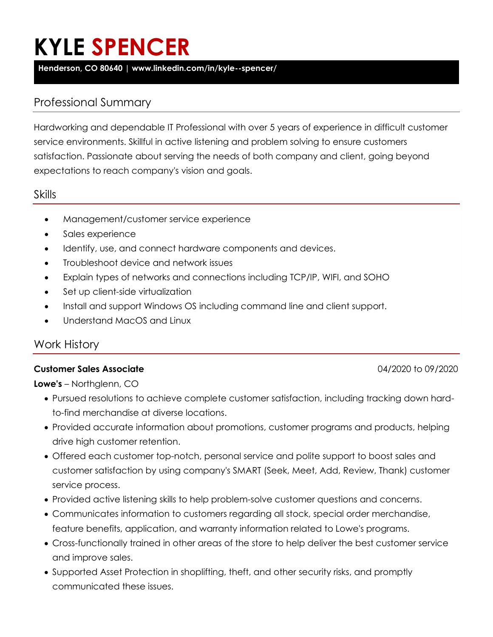# **KYLE SPENCER**

**Henderson, CO 80640 | www.linkedin.com/in/kyle--spencer/**

# Professional Summary

Hardworking and dependable IT Professional with over 5 years of experience in difficult customer service environments. Skillful in active listening and problem solving to ensure customers satisfaction. Passionate about serving the needs of both company and client, going beyond expectations to reach company's vision and goals.

### Skills

- Management/customer service experience
- Sales experience
- Identify, use, and connect hardware components and devices.
- Troubleshoot device and network issues
- Explain types of networks and connections including TCP/IP, WIFI, and SOHO
- Set up client-side virtualization
- Install and support Windows OS including command line and client support.
- Understand MacOS and Linux

# Work History

### **Customer Sales Associate** 04/2020 to 09/2020

**Lowe's** – Northglenn, CO

- Pursued resolutions to achieve complete customer satisfaction, including tracking down hardto-find merchandise at diverse locations.
- Provided accurate information about promotions, customer programs and products, helping drive high customer retention.
- Offered each customer top-notch, personal service and polite support to boost sales and customer satisfaction by using company's SMART (Seek, Meet, Add, Review, Thank) customer service process.
- Provided active listening skills to help problem-solve customer questions and concerns.
- Communicates information to customers regarding all stock, special order merchandise, feature benefits, application, and warranty information related to Lowe's programs.
- Cross-functionally trained in other areas of the store to help deliver the best customer service and improve sales.
- Supported Asset Protection in shoplifting, theft, and other security risks, and promptly communicated these issues.